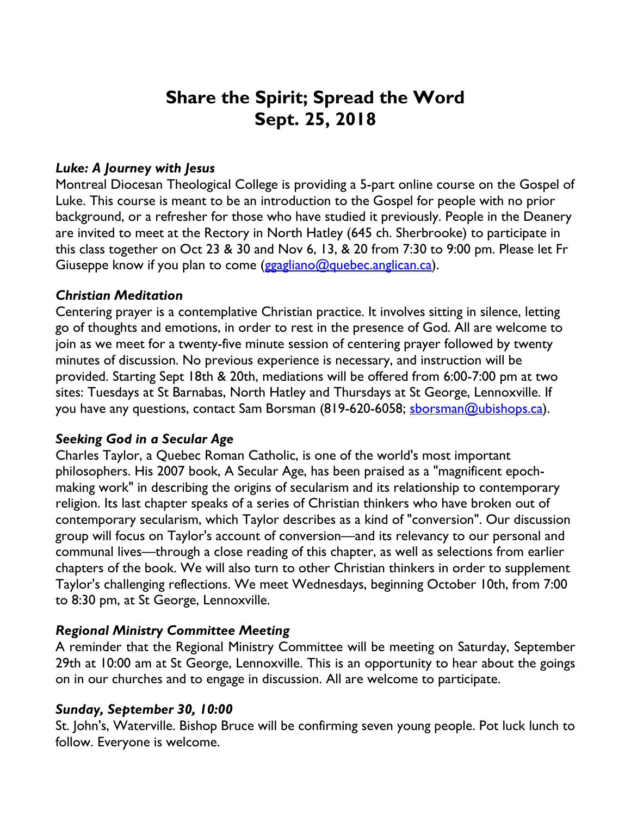# **Share the Spirit; Spread the Word Sept. 25, 2018**

# *Luke: A Journey with Jesus*

Montreal Diocesan Theological College is providing a 5-part online course on the Gospel of Luke. This course is meant to be an introduction to the Gospel for people with no prior background, or a refresher for those who have studied it previously. People in the Deanery are invited to meet at the Rectory in North Hatley (645 ch. Sherbrooke) to participate in this class together on Oct 23 & 30 and Nov 6, 13, & 20 from 7:30 to 9:00 pm. Please let Fr Giuseppe know if you plan to come (ggagliano@quebec.anglican.ca).

## *Christian Meditation*

Centering prayer is a contemplative Christian practice. It involves sitting in silence, letting go of thoughts and emotions, in order to rest in the presence of God. All are welcome to join as we meet for a twenty-five minute session of centering prayer followed by twenty minutes of discussion. No previous experience is necessary, and instruction will be provided. Starting Sept 18th & 20th, mediations will be offered from 6:00-7:00 pm at two sites: Tuesdays at St Barnabas, North Hatley and Thursdays at St George, Lennoxville. If you have any questions, contact Sam Borsman (819-620-6058; sborsman@ubishops.ca).

# *Seeking God in a Secular Age*

Charles Taylor, a Quebec Roman Catholic, is one of the world's most important philosophers. His 2007 book, A Secular Age, has been praised as a "magnificent epochmaking work" in describing the origins of secularism and its relationship to contemporary religion. Its last chapter speaks of a series of Christian thinkers who have broken out of contemporary secularism, which Taylor describes as a kind of "conversion". Our discussion group will focus on Taylor's account of conversion—and its relevancy to our personal and communal lives—through a close reading of this chapter, as well as selections from earlier chapters of the book. We will also turn to other Christian thinkers in order to supplement Taylor's challenging reflections. We meet Wednesdays, beginning October 10th, from 7:00 to 8:30 pm, at St George, Lennoxville.

# *Regional Ministry Committee Meeting*

A reminder that the Regional Ministry Committee will be meeting on Saturday, September 29th at 10:00 am at St George, Lennoxville. This is an opportunity to hear about the goings on in our churches and to engage in discussion. All are welcome to participate.

# *Sunday, September 30, 10:00*

St. John's, Waterville. Bishop Bruce will be confirming seven young people. Pot luck lunch to follow. Everyone is welcome.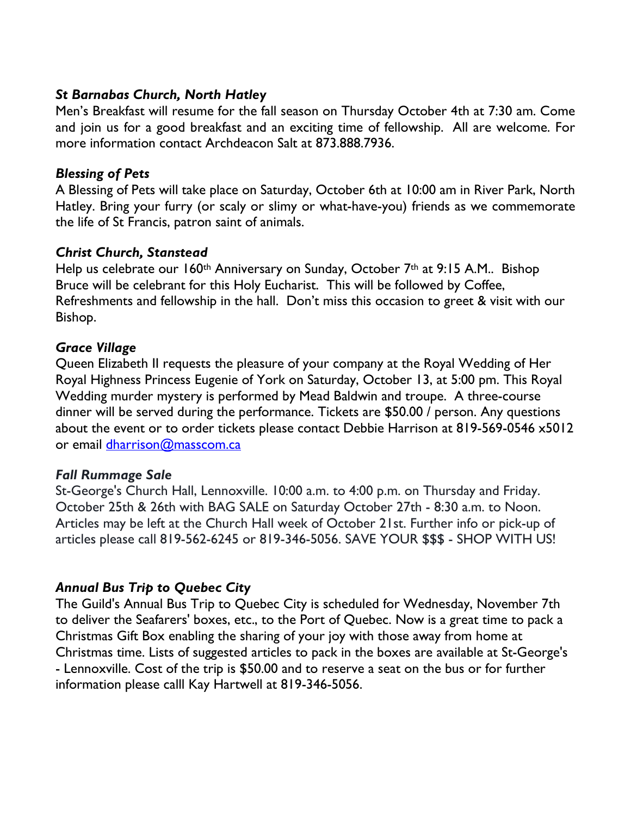# *St Barnabas Church, North Hatley*

Men's Breakfast will resume for the fall season on Thursday October 4th at 7:30 am. Come and join us for a good breakfast and an exciting time of fellowship. All are welcome. For more information contact Archdeacon Salt at 873.888.7936.

#### *Blessing of Pets*

A Blessing of Pets will take place on Saturday, October 6th at 10:00 am in River Park, North Hatley. Bring your furry (or scaly or slimy or what-have-you) friends as we commemorate the life of St Francis, patron saint of animals.

## *Christ Church, Stanstead*

Help us celebrate our 160<sup>th</sup> Anniversary on Sunday, October 7<sup>th</sup> at 9:15 A.M.. Bishop Bruce will be celebrant for this Holy Eucharist. This will be followed by Coffee, Refreshments and fellowship in the hall. Don't miss this occasion to greet & visit with our Bishop.

## *Grace Village*

Queen Elizabeth II requests the pleasure of your company at the Royal Wedding of Her Royal Highness Princess Eugenie of York on Saturday, October 13, at 5:00 pm. This Royal Wedding murder mystery is performed by Mead Baldwin and troupe. A three-course dinner will be served during the performance. Tickets are \$50.00 / person. Any questions about the event or to order tickets please contact Debbie Harrison at 819-569-0546 x5012 or email dharrison@masscom.ca

# *Fall Rummage Sale*

St-George's Church Hall, Lennoxville. 10:00 a.m. to 4:00 p.m. on Thursday and Friday. October 25th & 26th with BAG SALE on Saturday October 27th - 8:30 a.m. to Noon. Articles may be left at the Church Hall week of October 21st. Further info or pick-up of articles please call 819-562-6245 or 819-346-5056. SAVE YOUR \$\$\$ - SHOP WITH US!

# *Annual Bus Trip to Quebec City*

The Guild's Annual Bus Trip to Quebec City is scheduled for Wednesday, November 7th to deliver the Seafarers' boxes, etc., to the Port of Quebec. Now is a great time to pack a Christmas Gift Box enabling the sharing of your joy with those away from home at Christmas time. Lists of suggested articles to pack in the boxes are available at St-George's - Lennoxville. Cost of the trip is \$50.00 and to reserve a seat on the bus or for further information please calll Kay Hartwell at 819-346-5056.